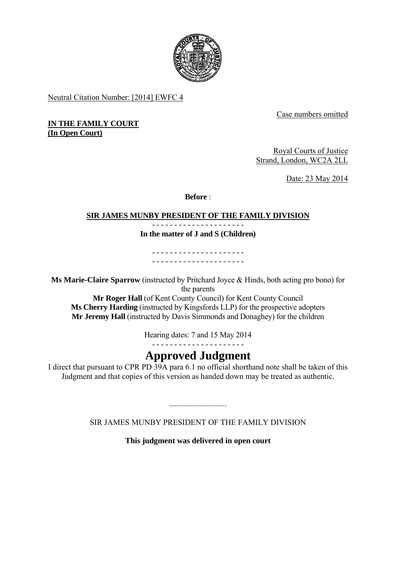

Neutral Citation Number: [2014] EWFC 4

Case numbers omitted

**IN THE FAMILY COURT (In Open Court)** 

> Royal Courts of Justice Strand, London, WC2A 2LL

> > Date: 23 May 2014

**Before** :

#### - - - - - - - - - - - - - - - - - - - - - **SIR JAMES MUNBY PRESIDENT OF THE FAMILY DIVISION**

**In the matter of J and S (Children)** 

- - - - - - - - - - - - - - - - - - - - - - - - - - - - - - - - - - - - - - - - - -

**Ms Marie-Claire Sparrow** (instructed by Pritchard Joyce & Hinds, both acting pro bono) for the parents

**Mr Roger Hall** (of Kent County Council) for Kent County Council **Ms Cherry Harding** (instructed by Kingsfords LLP) for the prospective adopters **Mr Jeremy Hall** (instructed by Davis Simmonds and Donaghey) for the children

Hearing dates: 7 and 15 May 2014

- - - - - - - - - - - - - - - - - - - - -

# **Approved Judgment**

I direct that pursuant to CPR PD 39A para 6.1 no official shorthand note shall be taken of this Judgment and that copies of this version as handed down may be treated as authentic.

SIR JAMES MUNBY PRESIDENT OF THE FAMILY DIVISION

.............................

**This judgment was delivered in open court**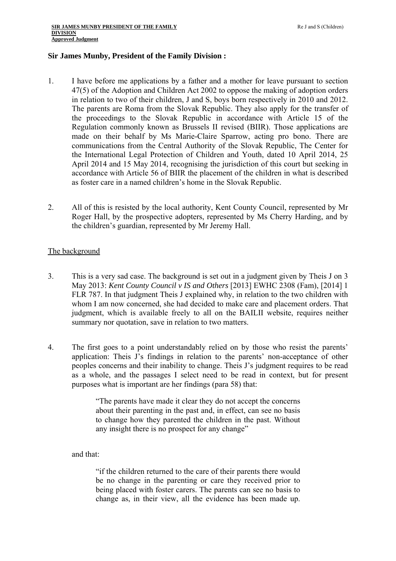# **Sir James Munby, President of the Family Division :**

- 1. I have before me applications by a father and a mother for leave pursuant to section 47(5) of the Adoption and Children Act 2002 to oppose the making of adoption orders in relation to two of their children, J and S, boys born respectively in 2010 and 2012. The parents are Roma from the Slovak Republic. They also apply for the transfer of the proceedings to the Slovak Republic in accordance with Article 15 of the Regulation commonly known as Brussels II revised (BIIR). Those applications are made on their behalf by Ms Marie-Claire Sparrow, acting pro bono. There are communications from the Central Authority of the Slovak Republic, The Center for the International Legal Protection of Children and Youth, dated 10 April 2014, 25 April 2014 and 15 May 2014, recognising the jurisdiction of this court but seeking in accordance with Article 56 of BIIR the placement of the children in what is described as foster care in a named children's home in the Slovak Republic.
- 2. All of this is resisted by the local authority, Kent County Council, represented by Mr Roger Hall, by the prospective adopters, represented by Ms Cherry Harding, and by the children's guardian, represented by Mr Jeremy Hall.

# The background

- 3. This is a very sad case. The background is set out in a judgment given by Theis J on 3 May 2013: *Kent County Council v IS and Others* [2013] EWHC 2308 (Fam), [2014] 1 FLR 787. In that judgment Theis J explained why, in relation to the two children with whom I am now concerned, she had decided to make care and placement orders. That judgment, which is available freely to all on the BAILII website, requires neither summary nor quotation, save in relation to two matters.
- 4. The first goes to a point understandably relied on by those who resist the parents' application: Theis J's findings in relation to the parents' non-acceptance of other peoples concerns and their inability to change. Theis J's judgment requires to be read as a whole, and the passages I select need to be read in context, but for present purposes what is important are her findings (para 58) that:

"The parents have made it clear they do not accept the concerns about their parenting in the past and, in effect, can see no basis to change how they parented the children in the past. Without any insight there is no prospect for any change"

and that:

"if the children returned to the care of their parents there would be no change in the parenting or care they received prior to being placed with foster carers. The parents can see no basis to change as, in their view, all the evidence has been made up.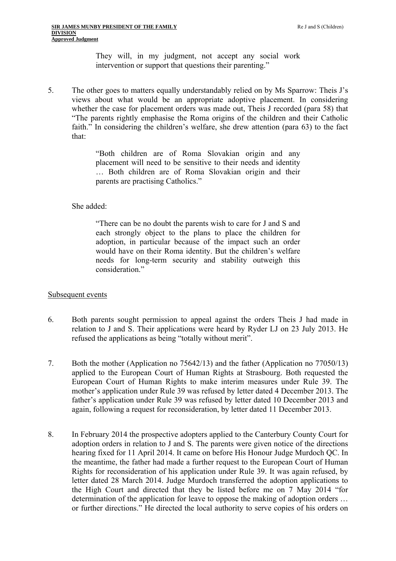They will, in my judgment, not accept any social work intervention or support that questions their parenting."

5. The other goes to matters equally understandably relied on by Ms Sparrow: Theis J's views about what would be an appropriate adoptive placement. In considering whether the case for placement orders was made out, Theis J recorded (para 58) that "The parents rightly emphasise the Roma origins of the children and their Catholic faith." In considering the children's welfare, she drew attention (para 63) to the fact that:

> "Both children are of Roma Slovakian origin and any placement will need to be sensitive to their needs and identity … Both children are of Roma Slovakian origin and their parents are practising Catholics."

### She added:

"There can be no doubt the parents wish to care for J and S and each strongly object to the plans to place the children for adoption, in particular because of the impact such an order would have on their Roma identity. But the children's welfare needs for long-term security and stability outweigh this consideration."

#### Subsequent events

- 6. Both parents sought permission to appeal against the orders Theis J had made in relation to J and S. Their applications were heard by Ryder LJ on 23 July 2013. He refused the applications as being "totally without merit".
- 7. Both the mother (Application no 75642/13) and the father (Application no 77050/13) applied to the European Court of Human Rights at Strasbourg. Both requested the European Court of Human Rights to make interim measures under Rule 39. The mother's application under Rule 39 was refused by letter dated 4 December 2013. The father's application under Rule 39 was refused by letter dated 10 December 2013 and again, following a request for reconsideration, by letter dated 11 December 2013.
- 8. In February 2014 the prospective adopters applied to the Canterbury County Court for adoption orders in relation to J and S. The parents were given notice of the directions hearing fixed for 11 April 2014. It came on before His Honour Judge Murdoch QC. In the meantime, the father had made a further request to the European Court of Human Rights for reconsideration of his application under Rule 39. It was again refused, by letter dated 28 March 2014. Judge Murdoch transferred the adoption applications to the High Court and directed that they be listed before me on 7 May 2014 "for determination of the application for leave to oppose the making of adoption orders … or further directions." He directed the local authority to serve copies of his orders on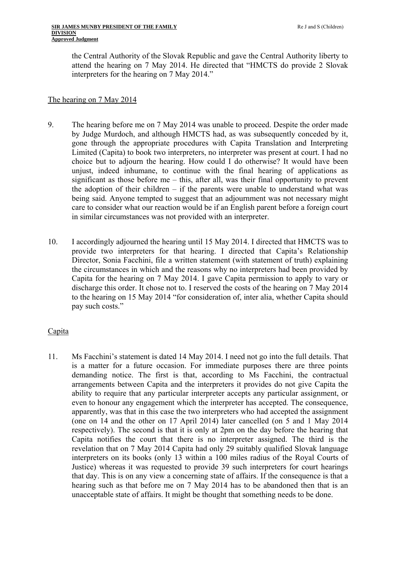#### **SIR JAMES MUNBY PRESIDENT OF THE FAMILY Reading the State of the Security of the Security of the Security of the Security of the Security of the Security of the Security of the Security of the Security of the Security o DIVISION Approved Judgment**

the Central Authority of the Slovak Republic and gave the Central Authority liberty to attend the hearing on 7 May 2014. He directed that "HMCTS do provide 2 Slovak interpreters for the hearing on 7 May 2014."

# The hearing on 7 May 2014

- in similar circumstances was not provided with an interpreter. 9. The hearing before me on 7 May 2014 was unable to proceed. Despite the order made by Judge Murdoch, and although HMCTS had, as was subsequently conceded by it, gone through the appropriate procedures with Capita Translation and Interpreting Limited (Capita) to book two interpreters, no interpreter was present at court. I had no choice but to adjourn the hearing. How could I do otherwise? It would have been unjust, indeed inhumane, to continue with the final hearing of applications as significant as those before me – this, after all, was their final opportunity to prevent the adoption of their children  $-$  if the parents were unable to understand what was being said. Anyone tempted to suggest that an adjournment was not necessary might care to consider what our reaction would be if an English parent before a foreign court
- 10. I accordingly adjourned the hearing until 15 May 2014. I directed that HMCTS was to provide two interpreters for that hearing. I directed that Capita's Relationship Director, Sonia Facchini, file a written statement (with statement of truth) explaining the circumstances in which and the reasons why no interpreters had been provided by Capita for the hearing on 7 May 2014. I gave Capita permission to apply to vary or discharge this order. It chose not to. I reserved the costs of the hearing on 7 May 2014 to the hearing on 15 May 2014 "for consideration of, inter alia, whether Capita should pay such costs."

# **Capita**

11. Ms Facchini's statement is dated 14 May 2014. I need not go into the full details. That is a matter for a future occasion. For immediate purposes there are three points demanding notice. The first is that, according to Ms Facchini, the contractual arrangements between Capita and the interpreters it provides do not give Capita the ability to require that any particular interpreter accepts any particular assignment, or even to honour any engagement which the interpreter has accepted. The consequence, apparently, was that in this case the two interpreters who had accepted the assignment (one on 14 and the other on 17 April 2014) later cancelled (on 5 and 1 May 2014 respectively). The second is that it is only at 2pm on the day before the hearing that Capita notifies the court that there is no interpreter assigned. The third is the revelation that on 7 May 2014 Capita had only 29 suitably qualified Slovak language interpreters on its books (only 13 within a 100 miles radius of the Royal Courts of Justice) whereas it was requested to provide 39 such interpreters for court hearings that day. This is on any view a concerning state of affairs. If the consequence is that a hearing such as that before me on 7 May 2014 has to be abandoned then that is an unacceptable state of affairs. It might be thought that something needs to be done.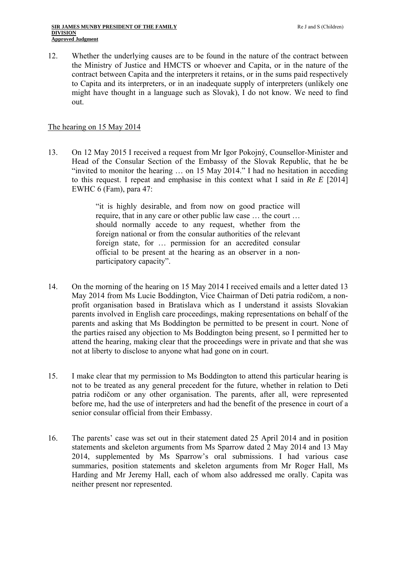12. Whether the underlying causes are to be found in the nature of the contract between the Ministry of Justice and HMCTS or whoever and Capita, or in the nature of the contract between Capita and the interpreters it retains, or in the sums paid respectively to Capita and its interpreters, or in an inadequate supply of interpreters (unlikely one might have thought in a language such as Slovak), I do not know. We need to find out.

# The hearing on 15 May 2014

13. On 12 May 2015 I received a request from Mr Igor Pokojný, Counsellor-Minister and Head of the Consular Section of the Embassy of the Slovak Republic, that he be "invited to monitor the hearing … on 15 May 2014." I had no hesitation in acceding to this request. I repeat and emphasise in this context what I said in *Re E* [2014] EWHC 6 (Fam), para 47:

> "it is highly desirable, and from now on good practice will require, that in any care or other public law case … the court … should normally accede to any request, whether from the foreign national or from the consular authorities of the relevant foreign state, for … permission for an accredited consular official to be present at the hearing as an observer in a nonparticipatory capacity".

- 14. On the morning of the hearing on 15 May 2014 I received emails and a letter dated 13 May 2014 from Ms Lucie Boddington, Vice Chairman of Deti patria rodičom, a nonprofit organisation based in Bratislava which as I understand it assists Slovakian parents involved in English care proceedings, making representations on behalf of the parents and asking that Ms Boddington be permitted to be present in court. None of the parties raised any objection to Ms Boddington being present, so I permitted her to attend the hearing, making clear that the proceedings were in private and that she was not at liberty to disclose to anyone what had gone on in court.
- 15. I make clear that my permission to Ms Boddington to attend this particular hearing is not to be treated as any general precedent for the future, whether in relation to Deti patria rodičom or any other organisation. The parents, after all, were represented before me, had the use of interpreters and had the benefit of the presence in court of a senior consular official from their Embassy.
- 16. The parents' case was set out in their statement dated 25 April 2014 and in position statements and skeleton arguments from Ms Sparrow dated 2 May 2014 and 13 May 2014, supplemented by Ms Sparrow's oral submissions. I had various case summaries, position statements and skeleton arguments from Mr Roger Hall, Ms Harding and Mr Jeremy Hall, each of whom also addressed me orally. Capita was neither present nor represented.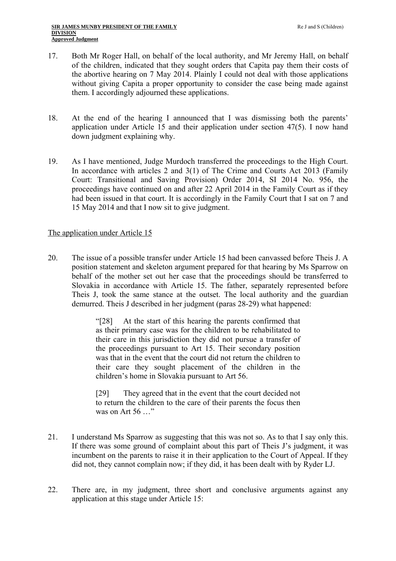- 17. Both Mr Roger Hall, on behalf of the local authority, and Mr Jeremy Hall, on behalf of the children, indicated that they sought orders that Capita pay them their costs of the abortive hearing on 7 May 2014. Plainly I could not deal with those applications without giving Capita a proper opportunity to consider the case being made against them. I accordingly adjourned these applications.
- 18. At the end of the hearing I announced that I was dismissing both the parents' application under Article 15 and their application under section 47(5). I now hand down judgment explaining why.
- 19. As I have mentioned, Judge Murdoch transferred the proceedings to the High Court. In accordance with articles 2 and 3(1) of The Crime and Courts Act 2013 (Family Court: Transitional and Saving Provision) Order 2014, SI 2014 No. 956, the proceedings have continued on and after 22 April 2014 in the Family Court as if they had been issued in that court. It is accordingly in the Family Court that I sat on 7 and 15 May 2014 and that I now sit to give judgment.

# The application under Article 15

20. The issue of a possible transfer under Article 15 had been canvassed before Theis J. A position statement and skeleton argument prepared for that hearing by Ms Sparrow on behalf of the mother set out her case that the proceedings should be transferred to Slovakia in accordance with Article 15. The father, separately represented before Theis J, took the same stance at the outset. The local authority and the guardian demurred. Theis J described in her judgment (paras 28-29) what happened:

> "[28] At the start of this hearing the parents confirmed that as their primary case was for the children to be rehabilitated to their care in this jurisdiction they did not pursue a transfer of the proceedings pursuant to Art 15. Their secondary position was that in the event that the court did not return the children to their care they sought placement of the children in the children's home in Slovakia pursuant to Art 56.

> [29] They agreed that in the event that the court decided not to return the children to the care of their parents the focus then was on Art  $56$  "

- 21. I understand Ms Sparrow as suggesting that this was not so. As to that I say only this. If there was some ground of complaint about this part of Theis J's judgment, it was incumbent on the parents to raise it in their application to the Court of Appeal. If they did not, they cannot complain now; if they did, it has been dealt with by Ryder LJ.
- 22. There are, in my judgment, three short and conclusive arguments against any application at this stage under Article 15: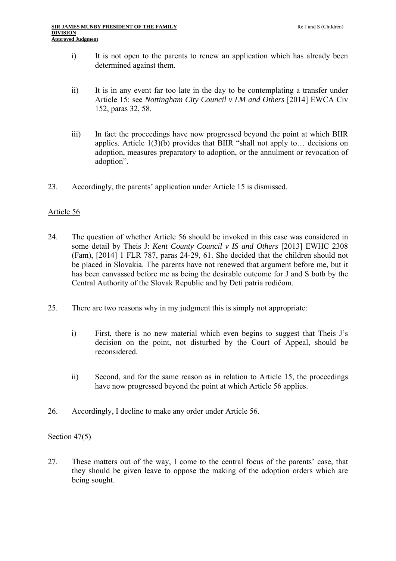- i) It is not open to the parents to renew an application which has already been determined against them.
- ii) It is in any event far too late in the day to be contemplating a transfer under Article 15: see *Nottingham City Council v LM and Others* [2014] EWCA Civ 152, paras 32, 58.
- iii) In fact the proceedings have now progressed beyond the point at which BIIR applies. Article  $1(3)(b)$  provides that BIIR "shall not apply to... decisions on adoption, measures preparatory to adoption, or the annulment or revocation of adoption".
- 23. Accordingly, the parents' application under Article 15 is dismissed.

# Article 56

- 24. The question of whether Article 56 should be invoked in this case was considered in some detail by Theis J: *Kent County Council v IS and Others* [2013] EWHC 2308 (Fam), [2014] 1 FLR 787, paras 24-29, 61. She decided that the children should not be placed in Slovakia. The parents have not renewed that argument before me, but it has been canvassed before me as being the desirable outcome for J and S both by the Central Authority of the Slovak Republic and by Deti patria rodičom.
- 25. There are two reasons why in my judgment this is simply not appropriate:
	- i) First, there is no new material which even begins to suggest that Theis J's decision on the point, not disturbed by the Court of Appeal, should be reconsidered.
	- ii) Second, and for the same reason as in relation to Article 15, the proceedings have now progressed beyond the point at which Article 56 applies.
- 26. Accordingly, I decline to make any order under Article 56.

# Section 47(5)

27. These matters out of the way, I come to the central focus of the parents' case, that they should be given leave to oppose the making of the adoption orders which are being sought.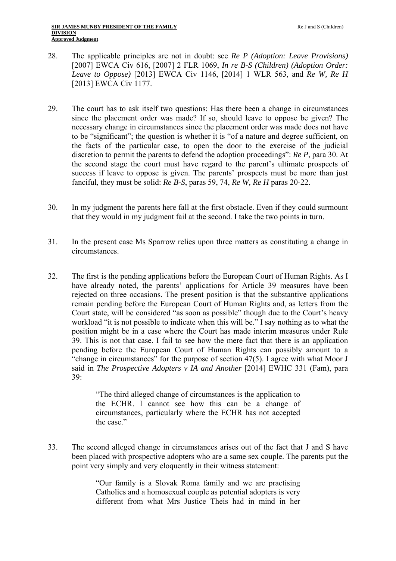- 28. The applicable principles are not in doubt: see *Re P (Adoption: Leave Provisions)*  [2007] EWCA Civ 616, [2007] 2 FLR 1069, *In re B-S (Children) (Adoption Order: Leave to Oppose)* [2013] EWCA Civ 1146, [2014] 1 WLR 563, and *Re W, Re H*  [2013] EWCA Civ 1177.
- 29. The court has to ask itself two questions: Has there been a change in circumstances since the placement order was made? If so, should leave to oppose be given? The necessary change in circumstances since the placement order was made does not have to be "significant"; the question is whether it is "of a nature and degree sufficient, on the facts of the particular case, to open the door to the exercise of the judicial discretion to permit the parents to defend the adoption proceedings": *Re P*, para 30. At the second stage the court must have regard to the parent's ultimate prospects of success if leave to oppose is given. The parents' prospects must be more than just fanciful, they must be solid: *Re B-S*, paras 59, 74, *Re W, Re H* paras 20-22.
- 30. In my judgment the parents here fall at the first obstacle. Even if they could surmount that they would in my judgment fail at the second. I take the two points in turn.
- 31. In the present case Ms Sparrow relies upon three matters as constituting a change in circumstances.
- 32. The first is the pending applications before the European Court of Human Rights. As I have already noted, the parents' applications for Article 39 measures have been rejected on three occasions. The present position is that the substantive applications remain pending before the European Court of Human Rights and, as letters from the Court state, will be considered "as soon as possible" though due to the Court's heavy workload "it is not possible to indicate when this will be." I say nothing as to what the position might be in a case where the Court has made interim measures under Rule 39. This is not that case. I fail to see how the mere fact that there is an application pending before the European Court of Human Rights can possibly amount to a "change in circumstances" for the purpose of section 47(5). I agree with what Moor J said in *The Prospective Adopters v IA and Another* [2014] EWHC 331 (Fam), para 39:

"The third alleged change of circumstances is the application to the ECHR. I cannot see how this can be a change of circumstances, particularly where the ECHR has not accepted the case."

33. The second alleged change in circumstances arises out of the fact that J and S have been placed with prospective adopters who are a same sex couple. The parents put the point very simply and very eloquently in their witness statement:

> "Our family is a Slovak Roma family and we are practising Catholics and a homosexual couple as potential adopters is very different from what Mrs Justice Theis had in mind in her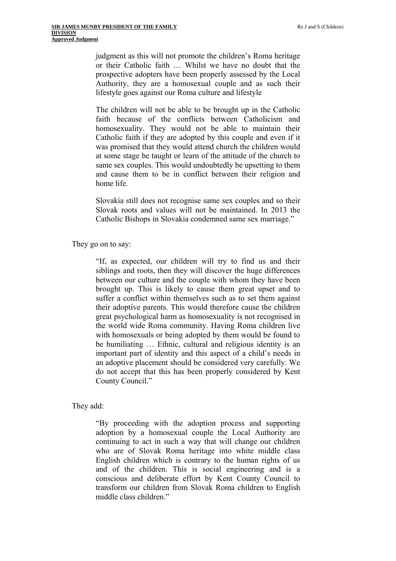judgment as this will not promote the children's Roma heritage or their Catholic faith … Whilst we have no doubt that the prospective adopters have been properly assessed by the Local Authority, they are a homosexual couple and as such their lifestyle goes against our Roma culture and lifestyle

The children will not be able to be brought up in the Catholic faith because of the conflicts between Catholicism and homosexuality. They would not be able to maintain their Catholic faith if they are adopted by this couple and even if it was promised that they would attend church the children would at some stage be taught or learn of the attitude of the church to same sex couples. This would undoubtedly be upsetting to them and cause them to be in conflict between their religion and home life.

Slovakia still does not recognise same sex couples and so their Slovak roots and values will not be maintained. In 2013 the Catholic Bishops in Slovakia condemned same sex marriage."

They go on to say:

"If, as expected, our children will try to find us and their siblings and roots, then they will discover the huge differences between our culture and the couple with whom they have been brought up. This is likely to cause them great upset and to suffer a conflict within themselves such as to set them against their adoptive parents. This would therefore cause the children great psychological harm as homosexuality is not recognised in the world wide Roma community. Having Roma children live with homosexuals or being adopted by them would be found to be humiliating … Ethnic, cultural and religious identity is an important part of identity and this aspect of a child's needs in an adoptive placement should be considered very carefully. We do not accept that this has been properly considered by Kent County Council."

They add:

"By proceeding with the adoption process and supporting adoption by a homosexual couple the Local Authority are continuing to act in such a way that will change our children who are of Slovak Roma heritage into white middle class English children which is contrary to the human rights of us and of the children. This is social engineering and is a conscious and deliberate effort by Kent County Council to transform our children from Slovak Roma children to English middle class children."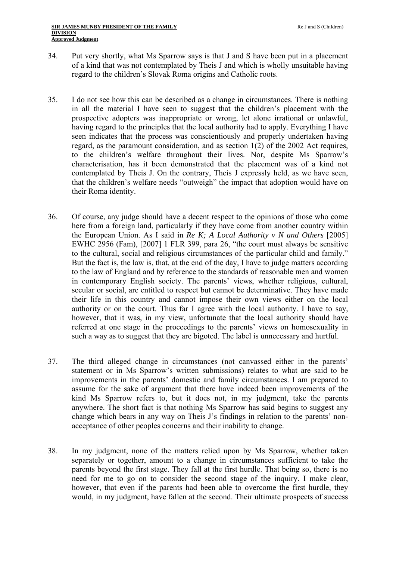- 34. Put very shortly, what Ms Sparrow says is that J and S have been put in a placement of a kind that was not contemplated by Theis J and which is wholly unsuitable having regard to the children's Slovak Roma origins and Catholic roots.
- 35. I do not see how this can be described as a change in circumstances. There is nothing in all the material I have seen to suggest that the children's placement with the prospective adopters was inappropriate or wrong, let alone irrational or unlawful, having regard to the principles that the local authority had to apply. Everything I have seen indicates that the process was conscientiously and properly undertaken having regard, as the paramount consideration, and as section 1(2) of the 2002 Act requires, to the children's welfare throughout their lives. Nor, despite Ms Sparrow's characterisation, has it been demonstrated that the placement was of a kind not contemplated by Theis J. On the contrary, Theis J expressly held, as we have seen, that the children's welfare needs "outweigh" the impact that adoption would have on their Roma identity.
- 36. Of course, any judge should have a decent respect to the opinions of those who come here from a foreign land, particularly if they have come from another country within the European Union. As I said in *Re K; A Local Authority v N and Others* [2005] EWHC 2956 (Fam), [2007] 1 FLR 399, para 26, "the court must always be sensitive to the cultural, social and religious circumstances of the particular child and family." But the fact is, the law is, that, at the end of the day, I have to judge matters according to the law of England and by reference to the standards of reasonable men and women in contemporary English society. The parents' views, whether religious, cultural, secular or social, are entitled to respect but cannot be determinative. They have made their life in this country and cannot impose their own views either on the local authority or on the court. Thus far I agree with the local authority. I have to say, however, that it was, in my view, unfortunate that the local authority should have referred at one stage in the proceedings to the parents' views on homosexuality in such a way as to suggest that they are bigoted. The label is unnecessary and hurtful.
- 37. The third alleged change in circumstances (not canvassed either in the parents' statement or in Ms Sparrow's written submissions) relates to what are said to be improvements in the parents' domestic and family circumstances. I am prepared to assume for the sake of argument that there have indeed been improvements of the kind Ms Sparrow refers to, but it does not, in my judgment, take the parents anywhere. The short fact is that nothing Ms Sparrow has said begins to suggest any change which bears in any way on Theis J's findings in relation to the parents' nonacceptance of other peoples concerns and their inability to change.
- 38. In my judgment, none of the matters relied upon by Ms Sparrow, whether taken separately or together, amount to a change in circumstances sufficient to take the parents beyond the first stage. They fall at the first hurdle. That being so, there is no need for me to go on to consider the second stage of the inquiry. I make clear, however, that even if the parents had been able to overcome the first hurdle, they would, in my judgment, have fallen at the second. Their ultimate prospects of success